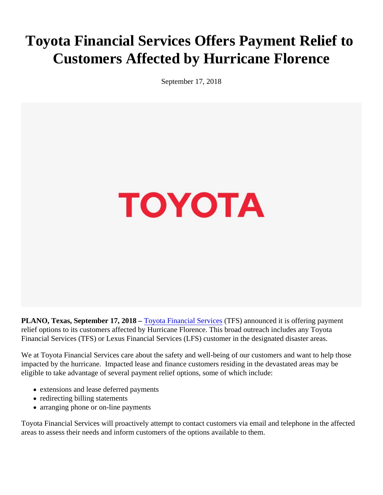## Toyota Financial Services Offers Payment Relief to Customers Affected by Hurricane Florence

September 17, 2018

PLANO,Texas, September 17, 2018 Foyota Financial Service (TFS) announced it is offering payment relief options to its customers affected by Hurricane Florence. This broad outreach includes any Toyota Financial Services (TFS) or Lexus Financial Services (LFS) customer in the designated disaster areas.

We at Toyota Financial Services care about the safety and well-being of our customers and want to help thos impacted by the hurricane. Impacted lease and finance customers residing in the devastated areas may be eligible to take advantage of several payment relief options, some of which include:

- extensions and lease deferred payments
- redirecting billing statements
- arranging phone or on-line payments

Toyota Financial Services will proactively attempt to contact customers via email and telephone in the affecte areas to assess their needs and inform customers of the options available to them.